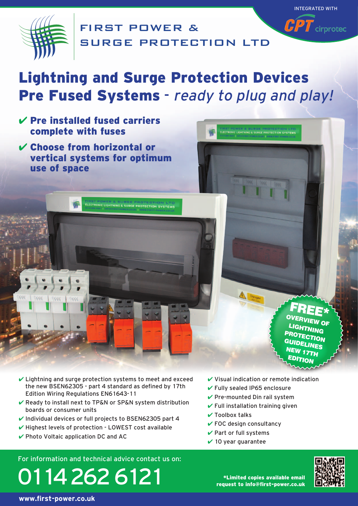

FIRST POWER & SURGE PROTECTION LTD

# Lightning and Surge Protection Devices Pre Fused Systems - ready to plug and play!

- $V$  Pre installed fused carriers complete with fuses
- ✔ Choose from horizontal or vertical systems for optimum use of space

ELECTRONIC LIGHTNING & SURGE PROTECTION SYSTEMS

FREE<sup>\*</sup> LIGHTNING G Pro ROTECTION<br>UIDEI INFS N **ELINES EW 17TH EDITION** 

INTEGRATED WITH

 $\widehat{CPT}$  cirprotec

- $\vee$  Lightning and surge protection systems to meet and exceed the new BSEN62305 - part 4 standard as defined by 17th Edition Wiring Regulations EN61643-11
- ✔ Ready to install next to TP&N or SP&N system distribution boards or consumer units
- ✔ Individual devices or full projects to BSEN62305 part 4
- $\checkmark$  Highest levels of protection LOWEST cost available
- $\vee$  Photo Voltaic application DC and AC

 $\vee$  Visual indication or remote indication

ELECTRONIC LIGHTNING & SURGE PROTECTION SYSTEMS

- ✔ Fully sealed IP65 enclosure
- $\checkmark$  Pre-mounted Din rail system
- $\checkmark$  Full installation training given
- $\vee$  Toolbox talks
- $\checkmark$  FOC design consultancy
- $\checkmark$  Part or full systems
- $\vee$  10 year guarantee

For information and technical advice contact us on:





\*Limited copies available email request to info@first-power.co.uk

**www.first-power.co.uk**